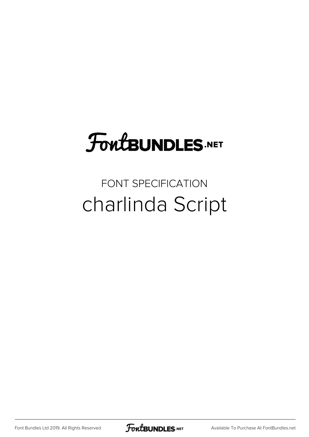## **FoutBUNDLES.NET**

### FONT SPECIFICATION charlinda Script

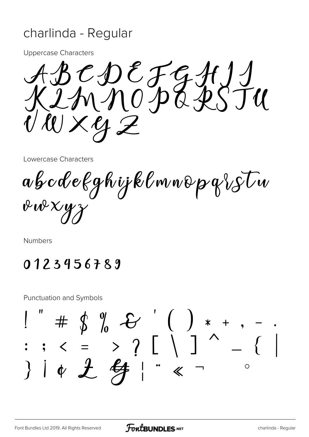#### charlinda - Regular

**Uppercase Characters** 

 $BCDEFGHJU  
ImMOPGXYJU$  $\mathcal{W} \times \mathcal{Y} \mathcal{Z}$ 

Lowercase Characters

abcdekghijklmnopqistu  $\n *w* \times *y*$ 

Numbers

#### 0123456789

**Punctuation and Symbols** 

 $\begin{array}{ccccccc} 1 & + & \phi & \eta & - & \ 1 & + & \phi & \eta & - & \end{array}$ <br>: ; < = > ? [ \ ] ^ - $344 + 241$  $\overline{\Bbbk}$  $\circ$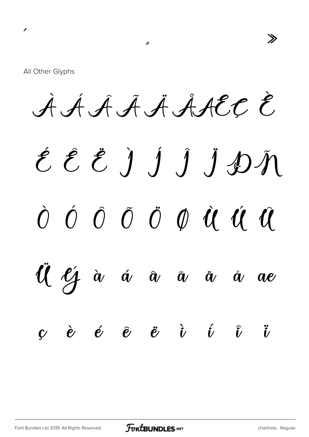$\gg$ 

All Other Glyphs

 $\overline{\phantom{a}}$ 

AAAAAAACCE

 $\overline{\mathbf{v}}$ 

# ÉÊËJĴĴĴDÑ  $\begin{array}{ccccccccccccc}\n\hat{O} & \hat{O} & \hat{O} & \hat{O} & \hat{O} & \hat{O} & \hat{U} & \hat{U} & \hat{U}\n\end{array}$

Ul  $\ell$ j à á â ā ä å ae

 $\mathbf{y}$  è é è ë i í i i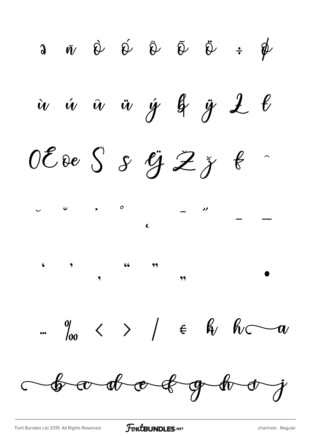$\begin{array}{ccccc} \mathbf{a} & \bar{\mathbf{w}} & \hat{\mathbf{w}} & \hat{\mathbf{w}} & \hat{\mathbf{w}} & \hat{\mathbf{w}} & \hat{\mathbf{w}} & \hat{\mathbf{w}} & \hat{\mathbf{w}} & \hat{\mathbf{w}} & \hat{\mathbf{w}} & \hat{\mathbf{w}} & \hat{\mathbf{w}} & \hat{\mathbf{w}} & \hat{\mathbf{w}} & \hat{\mathbf{w}} & \hat{\mathbf{w}} & \hat{\mathbf{w}} & \hat{\mathbf{w}} & \hat{\mathbf{w}} & \hat{\mathbf{w}} & \hat{\mathbf{w}} & \hat{\mathbf{w}} & \hat{\mathbf{w$ iv ú û ü ý g y L b OE de S & G Z ž f  $\begin{array}{ccc} & & & \circ \ & & & \circ \end{array}$  $\sim$   $\frac{1}{2}$  $\therefore$   $\frac{0}{100}$  < > /  $\in$   $\frac{0}{10}$   $\frac{0}{100}$ bodotoghij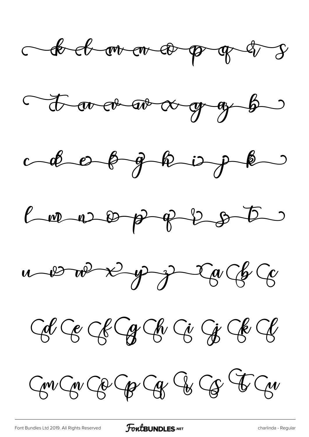











 $G\curvearrowleft G\curvearrowright G\curvearrowright G\curvearrowright G\curvearrowright G$